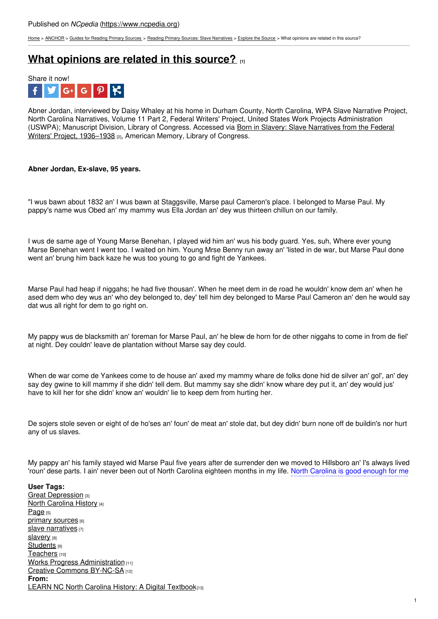[Home](https://www.ncpedia.org/) > [ANCHOR](https://www.ncpedia.org/anchor/anchor) > Guides for [Reading](https://www.ncpedia.org/anchor/guides-reading-primary) Primary Sources > Reading Primary Sources: Slave [Narratives](https://www.ncpedia.org/anchor/reading-primary-sources-0) > [Explore](https://www.ncpedia.org/anchor/explore-source) the Source > What opinions are related in this source?

## **What [opinions](https://www.ncpedia.org/anchor/what-opinions-are-related) are related in this source? [1]**



Abner Jordan, interviewed by Daisy Whaley at his home in Durham County, North Carolina, WPA Slave Narrative Project, North Carolina Narratives, Volume 11 Part 2, Federal Writers' Project, United States Work Projects Administration (USWPA); [Manuscript](https://www.loc.gov/collections/slave-narratives-from-the-federal-writers-project-1936-to-1938/about-this-collection/) Division, Library of Congress. Accessed via Born in Slavery: Slave Narratives from the Federal Writers' Project, 1936–1938 [2], American Memory, Library of Congress.

## **Abner Jordan, Ex-slave, 95 years.**

"I wus bawn about 1832 an' I wus bawn at [Staggsville,](http://www.social9.com) Marse paul Cameron's place. I belonged to Marse Paul. My pappy's name wus Obed an' my mammy wus Ella Jordan an' dey wus thirteen chillun on our family.

I wus de same age of Young Marse Benehan, I played wid him an' wus his body guard. Yes, suh, Where ever young Marse Benehan went I went too. I waited on him. Young Mrse Benny run away an' 'listed in de war, but Marse Paul done went an' brung him back kaze he wus too young to go and fight de Yankees.

Marse Paul had heap if niggahs; he had five thousan'. When he meet dem in de road he wouldn' know dem an' when he ased dem who dey wus an' who dey belonged to, dey' tell him dey belonged to Marse Paul Cameron an' den he would say dat wus all right for dem to go right on.

My pappy wus de blacksmith an' foreman for Marse Paul, an' he blew de horn for de other niggahs to come in from de fiel' at night. Dey couldn' leave de plantation without Marse say dey could.

When de war come de Yankees come to de house an' axed my mammy whare de folks done hid de silver an' gol', an' dey say dey gwine to kill mammy if she didn' tell dem. But mammy say she didn' know whare dey put it, an' dey would jus' have to kill her for she didn' know an' wouldn' lie to keep dem from hurting her.

De sojers stole seven or eight of de ho'ses an' foun' de meat an' stole dat, but dey didn' burn none off de buildin's nor hurt any of us slaves.

My pappy an' his family stayed wid Marse Paul five years after de surrender den we moved to Hillsboro an' I's always lived 'roun' dese parts. I ain' never been out of North Carolina eighteen months in my life. North Carolina is good enough for me

**User Tags:** Great [Depression](https://www.ncpedia.org/category/user-tags/great-depression) [3] North [Carolina](https://www.ncpedia.org/category/user-tags/north-carolina-6) History [4] [Page](https://www.ncpedia.org/category/user-tags/page) [5] primary [sources](https://www.ncpedia.org/category/user-tags/primary-sources) [6] slave [narratives](https://www.ncpedia.org/category/user-tags/slave-narratives) [7] [slavery](https://www.ncpedia.org/category/user-tags/slavery) [8] [Students](https://www.ncpedia.org/category/user-tags/students) [9] [Teachers](https://www.ncpedia.org/category/user-tags/teachers) [10] Works Progress [Administration](https://www.ncpedia.org/category/user-tags/works-progress) [11] Creative Commons [BY-NC-SA](https://www.ncpedia.org/category/user-tags/creative-commons) [12] **From:** LEARN NC North Carolina History: A Digital [Textbook](https://www.ncpedia.org/category/entry-source/learn-nc)[13]